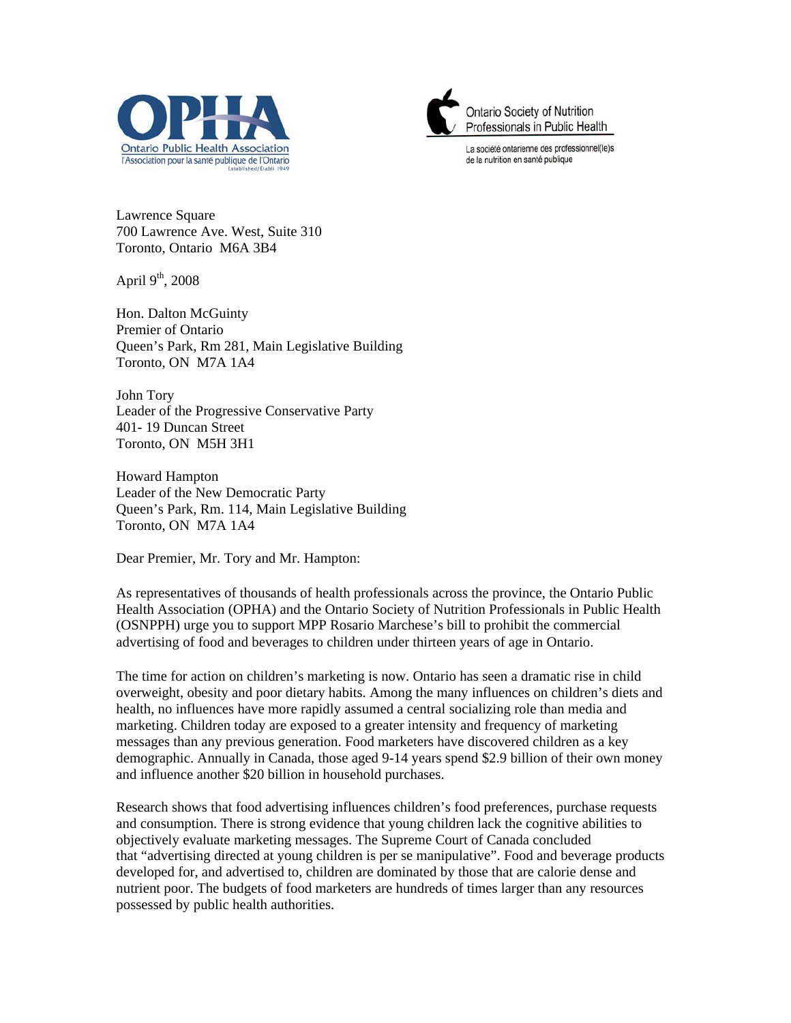



La société ontarienne des professionnel(le)s de la nutrition en santé publique

Lawrence Square 700 Lawrence Ave. West, Suite 310 Toronto, Ontario M6A 3B4

April  $9<sup>th</sup>$ , 2008

Hon. Dalton McGuinty Premier of Ontario Queen's Park, Rm 281, Main Legislative Building Toronto, ON M7A 1A4

John Tory Leader of the Progressive Conservative Party 401- 19 Duncan Street Toronto, ON M5H 3H1

Howard Hampton Leader of the New Democratic Party Queen's Park, Rm. 114, Main Legislative Building Toronto, ON M7A 1A4

Dear Premier, Mr. Tory and Mr. Hampton:

As representatives of thousands of health professionals across the province, the Ontario Public Health Association (OPHA) and the Ontario Society of Nutrition Professionals in Public Health (OSNPPH) urge you to support MPP Rosario Marchese's bill to prohibit the commercial advertising of food and beverages to children under thirteen years of age in Ontario.

The time for action on children's marketing is now. Ontario has seen a dramatic rise in child overweight, obesity and poor dietary habits. Among the many influences on children's diets and health, no influences have more rapidly assumed a central socializing role than media and marketing. Children today are exposed to a greater intensity and frequency of marketing messages than any previous generation. Food marketers have discovered children as a key demographic. Annually in Canada, those aged 9-14 years spend \$2.9 billion of their own money and influence another \$20 billion in household purchases.

Research shows that food advertising influences children's food preferences, purchase requests and consumption. There is strong evidence that young children lack the cognitive abilities to objectively evaluate marketing messages. The Supreme Court of Canada concluded that "advertising directed at young children is per se manipulative". Food and beverage products developed for, and advertised to, children are dominated by those that are calorie dense and nutrient poor. The budgets of food marketers are hundreds of times larger than any resources possessed by public health authorities.